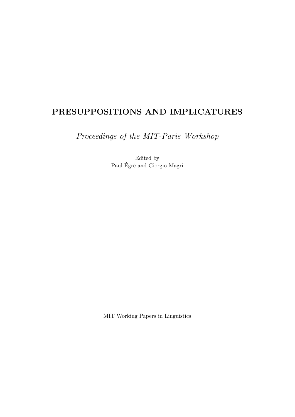## **PRESUPPOSITIONS AND IMPLICATURES**

*Proceedings of the MIT-Paris Workshop*

Edited by Paul Égré and Giorgio Magri

MIT Working Papers in Linguistics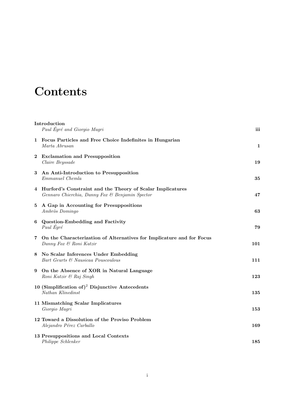## Contents

|          | Introduction<br>Paul Égré and Giorgio Magri                                                                     | iii |
|----------|-----------------------------------------------------------------------------------------------------------------|-----|
|          | 1 Focus Particles and Free Choice Indefinites in Hungarian<br>Marta Abrusan                                     | 1   |
| $\bf{2}$ | <b>Exclamation and Presupposition</b><br>Claire Beyssade                                                        | 19  |
| 3        | An Anti-Introduction to Presupposition<br>Emmanuel Chemla                                                       | 35  |
|          | 4 Hurford's Constraint and the Theory of Scalar Implicatures<br>Gennaro Chierchia, Danny Fox & Benjamin Spector | 47  |
|          | 5 A Gap in Accounting for Presuppositions<br>Ambròs Domingo                                                     | 63  |
| 6        | Question-Embedding and Factivity<br>Paul Égré                                                                   | 79  |
| 7        | On the Characterization of Alternatives for Implicature and for Focus<br>Danny Fox & Roni Katzir                | 101 |
| 8        | No Scalar Inferences Under Embedding<br>Bart Geurts & Nausicaa Pouscoulous                                      | 111 |
| 9        | On the Absence of XOR in Natural Language<br>Roni Katzir & Raj Singh                                            | 123 |
|          | 10 (Simplification of) <sup>2</sup> Disjunctive Antecedents<br>Nathan Klinedinst                                | 135 |
|          | 11 Mismatching Scalar Implicatures<br>Giorgio Magri                                                             | 153 |
|          | 12 Toward a Dissolution of the Proviso Problem<br>Alejandro Pérez Carballo                                      | 169 |
|          | 13 Presuppositions and Local Contexts<br>Philippe Schlenker                                                     | 185 |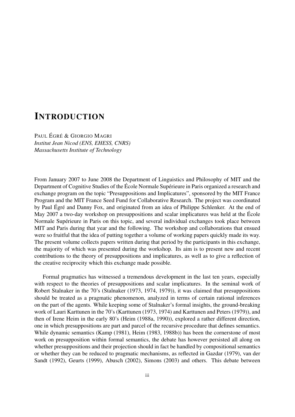## **INTRODUCTION**

PAUL ÉGRÉ & GIORGIO MAGRI *Institut Jean Nicod (ENS, EHESS, CNRS) Massachusetts Institute of Technology*

From January 2007 to June 2008 the Department of Linguistics and Philosophy of MIT and the Department of Cognitive Studies of the École Normale Supérieure in Paris organized a research and exchange program on the topic "Presuppositions and Implicatures", sponsored by the MIT France Program and the MIT France Seed Fund for Collaborative Research. The project was coordinated by Paul Égré and Danny Fox, and originated from an idea of Philippe Schlenker. At the end of May 2007 a two-day workshop on presuppositions and scalar implicatures was held at the École Normale Supérieure in Paris on this topic, and several individual exchanges took place between MIT and Paris during that year and the following. The workshop and collaborations that ensued were so fruitful that the idea of putting together a volume of working papers quickly made its way. The present volume collects papers written during that period by the participants in this exchange, the majority of which was presented during the workshop. Its aim is to present new and recent contributions to the theory of presuppositions and implicatures, as well as to give a reflection of the creative reciprocity which this exchange made possible.

Formal pragmatics has witnessed a tremendous development in the last ten years, especially with respect to the theories of presuppositions and scalar implicatures. In the seminal work of Robert Stalnaker in the 70's (Stalnaker (1973, 1974, 1979)), it was claimed that presuppositions should be treated as a pragmatic phenomenon, analyzed in terms of certain rational inferences on the part of the agents. While keeping some of Stalnaker's formal insights, the ground-breaking work of Lauri Karttunen in the 70's (Karttunen (1973, 1974) and Karttunen and Peters (1979)), and then of Irene Heim in the early 80's (Heim (1988a, 1990)), explored a rather different direction, one in which presuppositions are part and parcel of the recursive procedure that defines semantics. While dynamic semantics (Kamp (1981), Heim (1983, 1988b)) has been the cornerstone of most work on presupposition within formal semantics, the debate has however persisted all along on whether presuppositions and their projection should in fact be handled by compositional semantics or whether they can be reduced to pragmatic mechanisms, as reflected in Gazdar (1979), van der Sandt (1992), Geurts (1999), Abusch (2002), Simons (2003) and others. This debate between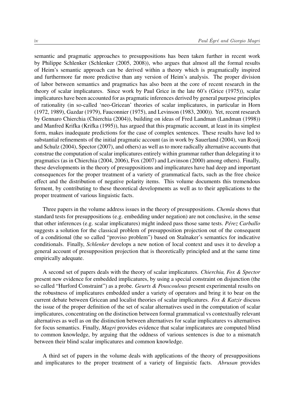semantic and pragmatic approaches to presuppositions has been taken further in recent work by Philippe Schlenker (Schlenker (2005, 2008)), who argues that almost all the formal results of Heim's semantic approach can be derived within a theory which is pragmatically inspired and furthermore far more predictive than any version of Heim's analysis. The proper division of labor between semantics and pragmatics has also been at the core of recent research in the theory of scalar implicatures. Since work by Paul Grice in the late 60's (Grice (1975)), scalar implicatures have been accounted for as pragmatic inferences derived by general purpose principles of rationality (in so-called 'neo-Gricean' theories of scalar implicatures, in particular in Horn (1972, 1989), Gazdar (1979), Fauconnier (1975), and Levinson (1983, 2000)). Yet, recent research by Gennaro Chierchia (Chierchia (2004)), building on ideas of Fred Landman (Landman (1998)) and Manfred Krifka (Krifka (1995)), has argued that this pragmatic account, at least in its simplest form, makes inadequate predictions for the case of complex sentences. These results have led to substantial refinements of the initial pragmatic account (as in work by Sauerland (2004), van Rooij and Schulz (2004), Spector (2007), and others) as well as to more radically alternative accounts that construe the computation of scalar implicatures entirely within grammar rather than delegating it to pragmatics (as in Chierchia (2004, 2006), Fox (2007) and Levinson (2000) among others). Finally, these developments in the theory of presuppositions and implicatures have had deep and important consequences for the proper treatment of a variety of grammatical facts, such as the free choice effect and the distribution of negative polarity items. This volume documents this tremendous ferment, by contributing to these theoretical developments as well as to their applications to the proper treatment of various linguistic facts.

Three papers in the volume address issues in the theory of presuppositions. *Chemla* shows that standard tests for presuppositions (e.g*.* embedding under negation) are not conclusive, in the sense that other inferences (e.g*.* scalar implicatures) might indeed pass those same tests. *Pérez Carballo* suggests a solution for the classical problem of presupposition projection out of the consequent of a conditional (the so called "proviso problem") based on Stalnaker's semantics for indicative conditionals. Finally, *Schlenker* develops a new notion of local context and uses it to develop a general account of presupposition projection that is theoretically principled and at the same time empirically adequate.

A second set of papers deals with the theory of scalar implicatures. *Chierchia, Fox & Spector* present new evidence for embedded implicatures, by using a special constraint on disjunction (the so called "Hurford Constraint") as a probe. *Geurts & Pouscoulous* present experimental results on the robustness of implicatures embedded under a variety of operators and bring it to bear on the current debate between Gricean and localist theories of scalar implicatures. *Fox & Katzir* discuss the issue of the proper definition of the set of scalar alternatives used in the computation of scalar implicatures, concentrating on the distinction between formal grammatical vs contextually relevant alternatives as well as on the distinction between alternatives for scalar implicatures vs alternatives for focus semantics. Finally, *Magri* provides evidence that scalar implicatures are computed blind to common knowledge, by arguing that the oddness of various sentences is due to a mismatch between their blind scalar implicatures and common knowledge.

A third set of papers in the volume deals with applications of the theory of presuppositions and implicatures to the proper treatment of a variety of linguistic facts. *Abrusan* provides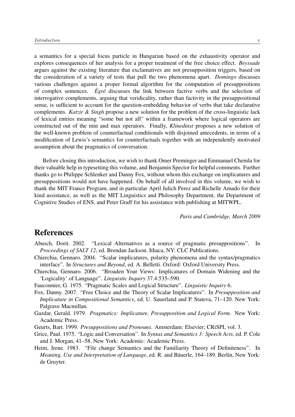a semantics for a special focus particle in Hungarian based on the exhaustivity operator and explores consequences of her analysis for a proper treatment of the free choice effect. *Beyssade* argues against the existing literature that exclamatives are not presupposition triggers, based on the consideration of a variety of tests that pull the two phenomena apart. *Domingo* discusses various challenges against a proper formal algorithm for the computation of presuppositions of complex sentences. *Égré* discusses the link between factive verbs and the selection of interrogative complements, arguing that veridicality, rather than factivity in the presuppositional sense, is sufficient to account for the question-embedding behavior of verbs that take declarative complements. *Katzir & Singh* propose a new solution for the problem of the cross-linguistic lack of lexical entries meaning "some but not all" within a framework where logical operators are constructed out of the min and max operators. Finally, *Klinedinst* proposes a new solution of the well-known problem of counterfactual conditionals with disjoined antecedents, in terms of a modification of Lewis's semantics for counterfactuals together with an independently motivated assumption about the pragmatics of conversation.

Before closing this introduction, we wish to thank Omer Preminger and Emmanuel Chemla for their valuable help in typesetting this volume, and Benjamin Spector for helpful comments. Further thanks go to Philippe Schlenker and Danny Fox, without whom this exchange on implicatures and presuppositions would not have happened. On behalf of all involved in this volume, we wish to thank the MIT France Program, and in particular April Julich Perez and Richelle Amado for their kind assistance, as well as the MIT Linguistics and Philosophy Department, the Department of Cognitive Studies of ENS, and Peter Graff for his assistance with publishing at MITWPL.

*Paris and Cambridge, March 2009*

## References

- Abusch, Dorit. 2002. "Lexical Alternatives as a source of pragmatic presuppositions". In *Proceedings of SALT 12*, ed. Brendan Jackson. Ithaca, NY: CLC Publications.
- Chierchia, Gennaro. 2004. "Scalar implicatures, polarity phenomena and the syntax/pragmatics interface". In *Structures and Beyond*, ed. A. Belletti. Oxford: Oxford University Press.
- Chierchia, Gennaro. 2006. "Broaden Your Views: Implicatures of Domain Widening and the 'Logicality' of Language". *Linguistic Inquiry* 37.4:535–590.
- Fauconnier, G. 1975. "Pragmatic Scales and Logical Structure". *Linguistic Inquiry* 6.
- Fox, Danny. 2007. "Free Choice and the Theory of Scalar Implicatures". In *Presupposition and Implicature in Compositional Semantics*, ed. U. Sauerland and P. Stateva, 71–120. New York: Palgrave Macmillan.
- Gazdar, Gerald. 1979. *Pragmatics: Implicature, Presupposition and Logical Form*. New York: Academic Press.
- Geurts, Bart. 1999. *Presuppositions and Pronouns*. Amsterdam: Elsevier; CRiSPI, vol. 3.
- Grice, Paul. 1975. "Logic and Conversation". In *Syntax and Semantics 3: Speech Acts*, ed. P. Cole and J. Morgan, 41–58. New York: Academic: Academic Press.
- Heim, Irene. 1983. "File change Semantics and the Familiarity Theory of Definiteness". In *Meaning, Use and Interpretation of Language*, ed. R. and Bäuerle, 164–189. Berlin, New York: de Gruyter.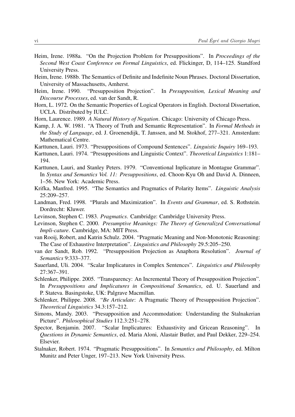- Heim, Irene. 1988a. "On the Projection Problem for Presuppositions". In *Proceedings of the Second West Coast Conference on Formal Linguistics*, ed. Flickinger, D, 114–125. Standford University Press.
- Heim, Irene. 1988b. The Semantics of Definite and Indefinite Noun Phrases. Doctoral Dissertation, University of Massachusetts, Amherst.
- Heim, Irene. 1990. "Presupposition Projection". In *Presupposition, Lexical Meaning and Discourse Processes*, ed. van der Sandt, R.
- Horn, L. 1972. On the Semantic Properties of Logical Operators in English. Doctoral Dissertation, UCLA. Distributed by IULC.
- Horn, Laurence. 1989. *A Natural History of Negation*. Chicago: University of Chicago Press.
- Kamp, J. A. W. 1981. "A Theory of Truth and Semantic Representation". In *Formal Methods in the Study of Language*, ed. J. Groenendijk, T. Janssen, and M. Stokhof, 277–321. Amsterdam: Mathematical Centre.
- Karttunen, Lauri. 1973. "Presuppositions of Compound Sentences". *Linguistic Inquiry* 169–193.
- Karttunen, Lauri. 1974. "Presuppositions and Linguistic Context". *Theoretical Linguistics* 1:181– 194.
- Karttunen, Lauri, and Stanley Peters. 1979. "Conventional Inplicature in Montague Grammar". In *Syntax and Semantics Vol. 11: Presuppositions*, ed. Choon-Kyu Oh and David A. Dinneen, 1–56. New York: Academic Press.
- Krifka, Manfred. 1995. "The Semantics and Pragmatics of Polarity Items". *Linguistic Analysis* 25:209–257.
- Landman, Fred. 1998. "Plurals and Maximization". In *Events and Grammar*, ed. S. Rothstein. Dordrecht: Kluwer.
- Levinson, Stephen C. 1983. *Pragmatics*. Cambridge: Cambridge University Press.
- Levinson, Stephen C. 2000. *Presumptive Meanings: The Theory of Generalized Conversational Impli-cature*. Cambridge, MA: MIT Press.
- van Rooij, Robert, and Katrin Schulz. 2004. "Pragmatic Meaning and Non-Monotonic Reasoning: The Case of Exhaustive Interpretation". *Linguistics and Philosophy* 29.5:205–250.
- van der Sandt, Rob. 1992. "Presupposition Projection as Anaphora Resolution". *Journal of Semantics* 9:333–377.
- Sauerland, Uli. 2004. "Scalar Implicatures in Complex Sentences". *Linguistics and Philosophy* 27:367–391.
- Schlenker, Philippe. 2005. "Transparency: An Incremental Theory of Presupposition Projection". In *Presuppositions and Implicatures in Compositional Semantics*, ed. U. Sauerland and P. Stateva. Basingstoke, UK: Palgrave Macmillan.
- Schlenker, Philippe. 2008. "*Be Articulate*: A Pragmatic Theory of Presupposition Projection". *Theoretical Linguistics* 34.3:157–212.
- Simons, Mandy. 2003. "Presupposition and Accommodation: Understanding the Stalnakerian Picture". *Philosophical Studies* 112.3:251–278.
- Spector, Benjamin. 2007. "Scalar Implicatures: Exhaustivity and Gricean Reasoning". In *Questions in Dynamic Semantics*, ed. Maria Aloni, Alastair Butler, and Paul Dekker, 229–254. Elsevier.
- Stalnaker, Robert. 1974. "Pragmatic Presuppositions". In *Semantics and Philosophy*, ed. Milton Munitz and Peter Unger, 197–213. New York University Press.